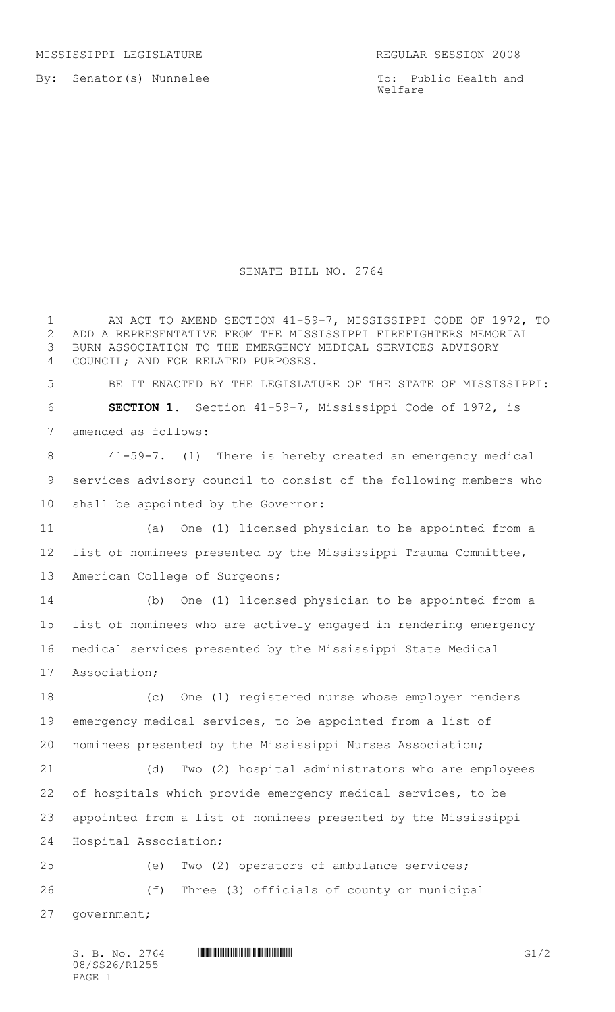By: Senator(s) Nunnelee

To: Public Health and Welfare

## SENATE BILL NO. 2764

1 AN ACT TO AMEND SECTION 41-59-7, MISSISSIPPI CODE OF 1972, TO ADD A REPRESENTATIVE FROM THE MISSISSIPPI FIREFIGHTERS MEMORIAL BURN ASSOCIATION TO THE EMERGENCY MEDICAL SERVICES ADVISORY COUNCIL; AND FOR RELATED PURPOSES. BE IT ENACTED BY THE LEGISLATURE OF THE STATE OF MISSISSIPPI: **SECTION 1.** Section 41-59-7, Mississippi Code of 1972, is amended as follows: 41-59-7. (1) There is hereby created an emergency medical services advisory council to consist of the following members who shall be appointed by the Governor: (a) One (1) licensed physician to be appointed from a list of nominees presented by the Mississippi Trauma Committee, American College of Surgeons; (b) One (1) licensed physician to be appointed from a list of nominees who are actively engaged in rendering emergency medical services presented by the Mississippi State Medical Association; (c) One (1) registered nurse whose employer renders emergency medical services, to be appointed from a list of nominees presented by the Mississippi Nurses Association; (d) Two (2) hospital administrators who are employees of hospitals which provide emergency medical services, to be appointed from a list of nominees presented by the Mississippi Hospital Association; (e) Two (2) operators of ambulance services; (f) Three (3) officials of county or municipal government;

S. B. No. 2764 \*SS26/R1255\* G1/2 08/SS26/R1255 PAGE 1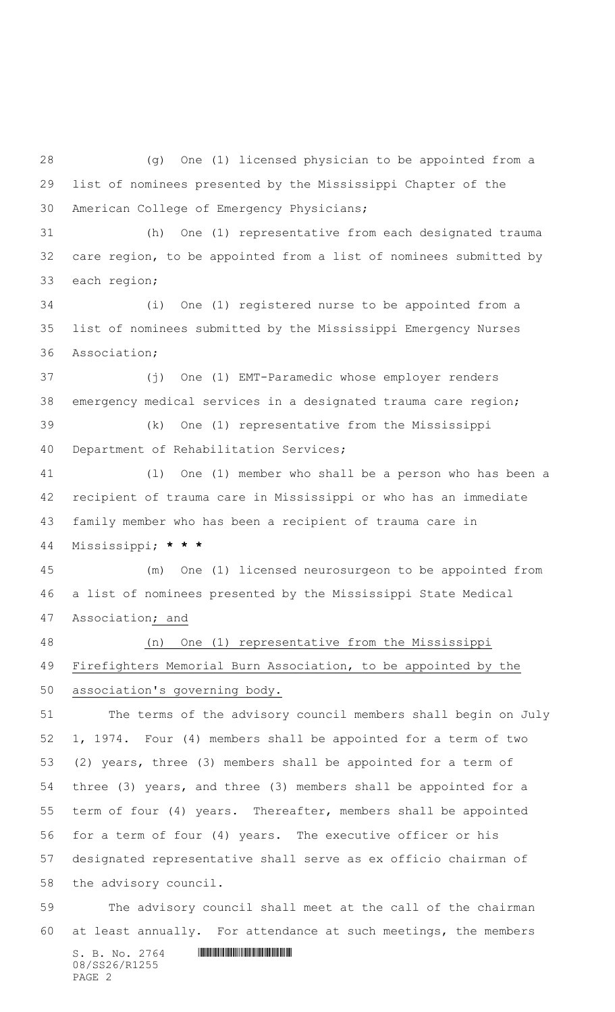$S. B. No. 2764$  .  $M12517777$  (g) One (1) licensed physician to be appointed from a list of nominees presented by the Mississippi Chapter of the American College of Emergency Physicians; (h) One (1) representative from each designated trauma care region, to be appointed from a list of nominees submitted by each region; (i) One (1) registered nurse to be appointed from a list of nominees submitted by the Mississippi Emergency Nurses Association; (j) One (1) EMT-Paramedic whose employer renders emergency medical services in a designated trauma care region; (k) One (1) representative from the Mississippi Department of Rehabilitation Services; (l) One (1) member who shall be a person who has been a recipient of trauma care in Mississippi or who has an immediate family member who has been a recipient of trauma care in Mississippi; **\* \* \*** (m) One (1) licensed neurosurgeon to be appointed from a list of nominees presented by the Mississippi State Medical Association; and (n) One (1) representative from the Mississippi Firefighters Memorial Burn Association, to be appointed by the association's governing body. The terms of the advisory council members shall begin on July 1, 1974. Four (4) members shall be appointed for a term of two (2) years, three (3) members shall be appointed for a term of three (3) years, and three (3) members shall be appointed for a term of four (4) years. Thereafter, members shall be appointed for a term of four (4) years. The executive officer or his designated representative shall serve as ex officio chairman of the advisory council. The advisory council shall meet at the call of the chairman at least annually. For attendance at such meetings, the members

08/SS26/R1255 PAGE 2